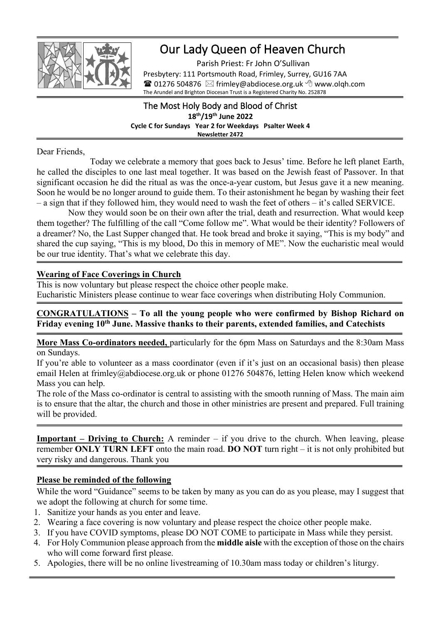

# Our Lady Queen of Heaven Church

Parish Priest: Fr John O'Sullivan Presbytery: 111 Portsmouth Road, Frimley, Surrey, GU16 7AA **■ 01276 504876**  $\, \boxtimes$  **frimley@abdiocese.org.uk**  $\, \odot$  **www.olgh.com** The Arundel and Brighton Diocesan Trust is a Registered Charity No. 252878

#### The Most Holy Body and Blood of Christ **18 th/19 th June 2022 Cycle C for Sundays Year 2 for Weekdays Psalter Week 4 Newsletter 2472**

Dear Friends,

Today we celebrate a memory that goes back to Jesus' time. Before he left planet Earth, he called the disciples to one last meal together. It was based on the Jewish feast of Passover. In that significant occasion he did the ritual as was the once-a-year custom, but Jesus gave it a new meaning. Soon he would be no longer around to guide them. To their astonishment he began by washing their feet – a sign that if they followed him, they would need to wash the feet of others – it's called SERVICE.

Now they would soon be on their own after the trial, death and resurrection. What would keep them together? The fulfilling of the call "Come follow me". What would be their identity? Followers of a dreamer? No, the Last Supper changed that. He took bread and broke it saying, "This is my body" and shared the cup saying, "This is my blood, Do this in memory of ME". Now the eucharistic meal would be our true identity. That's what we celebrate this day.

#### **Wearing of Face Coverings in Church**

This is now voluntary but please respect the choice other people make. Eucharistic Ministers please continue to wear face coverings when distributing Holy Communion.

## **CONGRATULATIONS – To all the young people who were confirmed by Bishop Richard on Friday evening 10th June. Massive thanks to their parents, extended families, and Catechists**

**More Mass Co-ordinators needed,** particularly for the 6pm Mass on Saturdays and the 8:30am Mass on Sundays.

If you're able to volunteer as a mass coordinator (even if it's just on an occasional basis) then please email Helen at frimley@abdiocese.org.uk or phone 01276 504876, letting Helen know which weekend Mass you can help.

The role of the Mass co-ordinator is central to assisting with the smooth running of Mass. The main aim is to ensure that the altar, the church and those in other ministries are present and prepared. Full training will be provided.

**Important – Driving to Church:** A reminder – if you drive to the church. When leaving, please remember **ONLY TURN LEFT** onto the main road. **DO NOT** turn right – it is not only prohibited but very risky and dangerous. Thank you

## **Please be reminded of the following**

While the word "Guidance" seems to be taken by many as you can do as you please, may I suggest that we adopt the following at church for some time.

- 1. Sanitize your hands as you enter and leave.
- 2. Wearing a face covering is now voluntary and please respect the choice other people make.
- 3. If you have COVID symptoms, please DO NOT COME to participate in Mass while they persist.
- 4. For Holy Communion please approach from the **middle aisle** with the exception of those on the chairs who will come forward first please.
- 5. Apologies, there will be no online livestreaming of 10.30am mass today or children's liturgy.